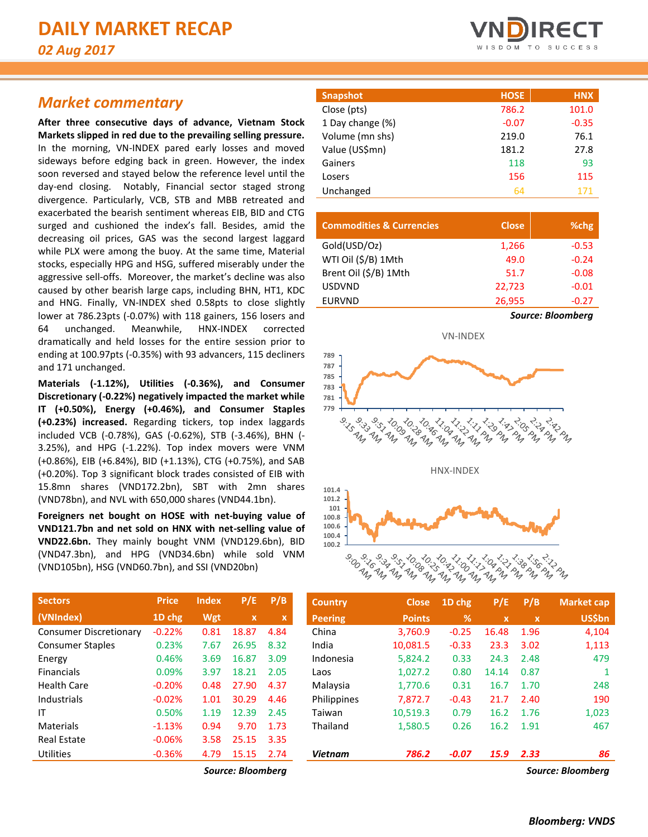## *Market commentary*

**After three consecutive days of advance, Vietnam Stock Markets slipped in red due to the prevailing selling pressure.**  In the morning, VN-INDEX pared early losses and moved sideways before edging back in green. However, the index soon reversed and stayed below the reference level until the day-end closing. Notably, Financial sector staged strong divergence. Particularly, VCB, STB and MBB retreated and exacerbated the bearish sentiment whereas EIB, BID and CTG surged and cushioned the index's fall. Besides, amid the decreasing oil prices, GAS was the second largest laggard while PLX were among the buoy. At the same time, Material stocks, especially HPG and HSG, suffered miserably under the aggressive sell-offs. Moreover, the market's decline was also caused by other bearish large caps, including BHN, HT1, KDC and HNG. Finally, VN-INDEX shed 0.58pts to close slightly lower at 786.23pts (-0.07%) with 118 gainers, 156 losers and 64 unchanged. Meanwhile, HNX-INDEX corrected dramatically and held losses for the entire session prior to ending at 100.97pts (-0.35%) with 93 advancers, 115 decliners and 171 unchanged.

**Materials (-1.12%), Utilities (-0.36%), and Consumer Discretionary (-0.22%) negatively impacted the market while IT (+0.50%), Energy (+0.46%), and Consumer Staples (+0.23%) increased.** Regarding tickers, top index laggards included VCB (-0.78%), GAS (-0.62%), STB (-3.46%), BHN (- 3.25%), and HPG (-1.22%). Top index movers were VNM (+0.86%), EIB (+6.84%), BID (+1.13%), CTG (+0.75%), and SAB (+0.20%). Top 3 significant block trades consisted of EIB with 15.8mn shares (VND172.2bn), SBT with 2mn shares (VND78bn), and NVL with 650,000 shares (VND44.1bn).

**Foreigners net bought on HOSE with net-buying value of VND121.7bn and net sold on HNX with net-selling value of VND22.6bn.** They mainly bought VNM (VND129.6bn), BID (VND47.3bn), and HPG (VND34.6bn) while sold VNM (VND105bn), HSG (VND60.7bn), and SSI (VND20bn)

| <b>Sectors</b>                | <b>Price</b> | <b>Index</b> | P/E   | P/B  |
|-------------------------------|--------------|--------------|-------|------|
| (VNIndex)                     | 1D chg       | Wgt          | x     | x    |
| <b>Consumer Discretionary</b> | $-0.22%$     | 0.81         | 18.87 | 4.84 |
| <b>Consumer Staples</b>       | 0.23%        | 7.67         | 26.95 | 8.32 |
| Energy                        | 0.46%        | 3.69         | 16.87 | 3.09 |
| <b>Financials</b>             | 0.09%        | 3.97         | 18.21 | 2.05 |
| <b>Health Care</b>            | $-0.20%$     | 0.48         | 27.90 | 4.37 |
| Industrials                   | $-0.02%$     | 1.01         | 30.29 | 4.46 |
| IT                            | 0.50%        | 1.19         | 12.39 | 2.45 |
| Materials                     | $-1.13%$     | 0.94         | 9.70  | 1.73 |
| <b>Real Estate</b>            | $-0.06%$     | 3.58         | 25.15 | 3.35 |
| Utilities                     | $-0.36%$     | 4.79         | 15.15 | 2.74 |



| Snapshot         | <b>HOSE</b> | <b>HNX</b> |
|------------------|-------------|------------|
| Close (pts)      | 786.2       | 101.0      |
| 1 Day change (%) | $-0.07$     | $-0.35$    |
| Volume (mn shs)  | 219.0       | 76.1       |
| Value (US\$mn)   | 181.2       | 27.8       |
| Gainers          | 118         | 93         |
| Losers           | 156         | 115        |
| Unchanged        | 64          | 171        |

| <b>Commodities &amp; Currencies</b> | <b>Close</b> | %chg                     |  |  |  |  |  |
|-------------------------------------|--------------|--------------------------|--|--|--|--|--|
| Gold(USD/Oz)                        | 1,266        | $-0.53$                  |  |  |  |  |  |
| WTI Oil (\$/B) 1Mth                 | 49.0         | $-0.24$                  |  |  |  |  |  |
| Brent Oil (\$/B) 1Mth               | 51.7         | $-0.08$                  |  |  |  |  |  |
| <b>USDVND</b>                       | 22,723       | $-0.01$                  |  |  |  |  |  |
| <b>EURVND</b>                       | 26,955       | $-0.27$                  |  |  |  |  |  |
|                                     |              | <b>Source: Bloomberg</b> |  |  |  |  |  |



| <b>Sectors</b>                | <b>Price</b> | <b>Index</b> | P/E               | P/B         | <b>Country</b> | <b>Close</b>  | 1D chg  | P/E         | P/B          | <b>Market cap</b> |
|-------------------------------|--------------|--------------|-------------------|-------------|----------------|---------------|---------|-------------|--------------|-------------------|
| (VNIndex)                     | 1D chg       | Wgt          | $\mathbf{x}$      | $\mathbf x$ | <b>Peering</b> | <b>Points</b> | %       | $\mathbf x$ | $\mathbf{x}$ | <b>US\$bn</b>     |
| <b>Consumer Discretionary</b> | $-0.22%$     | 0.81         | 18.87             | 4.84        | China          | 3,760.9       | $-0.25$ | 16.48       | 1.96         | 4,104             |
| <b>Consumer Staples</b>       | 0.23%        | 7.67         | 26.95             | 8.32        | India          | 10,081.5      | $-0.33$ | 23.3        | 3.02         | 1,113             |
| Energy                        | 0.46%        | 3.69         | 16.87             | 3.09        | Indonesia      | 5,824.2       | 0.33    | 24.3        | 2.48         | 479               |
| Financials                    | 0.09%        | 3.97         | 18.21             | 2.05        | Laos           | 1,027.2       | 0.80    | 14.14       | 0.87         |                   |
| Health Care                   | $-0.20%$     | 0.48         | 27.90             | 4.37        | Malaysia       | 1.770.6       | 0.31    | 16.7        | 1.70         | 248               |
| Industrials                   | $-0.02%$     | 1.01         | 30.29             | 4.46        | Philippines    | 7.872.7       | $-0.43$ | 21.7        | 2.40         | 190               |
| ΙT                            | 0.50%        | 1.19         | 12.39             | 2.45        | Taiwan         | 10,519.3      | 0.79    | 16.2        | 1.76         | 1,023             |
| Materials                     | $-1.13%$     | 0.94         | 9.70              | 1.73        | Thailand       | 1,580.5       | 0.26    | 16.2        | 1.91         | 467               |
| <b>Real Estate</b>            | $-0.06%$     | 3.58         | 25.15             | 3.35        |                |               |         |             |              |                   |
| Utilities                     | $-0.36%$     | 4.79         | 15.15             | 2.74        | <b>Vietnam</b> | 786.2         | $-0.07$ | 15.9        | 2.33         | 86                |
|                               |              |              | Source: Bloombera |             |                |               |         |             |              | Source: Bloombera |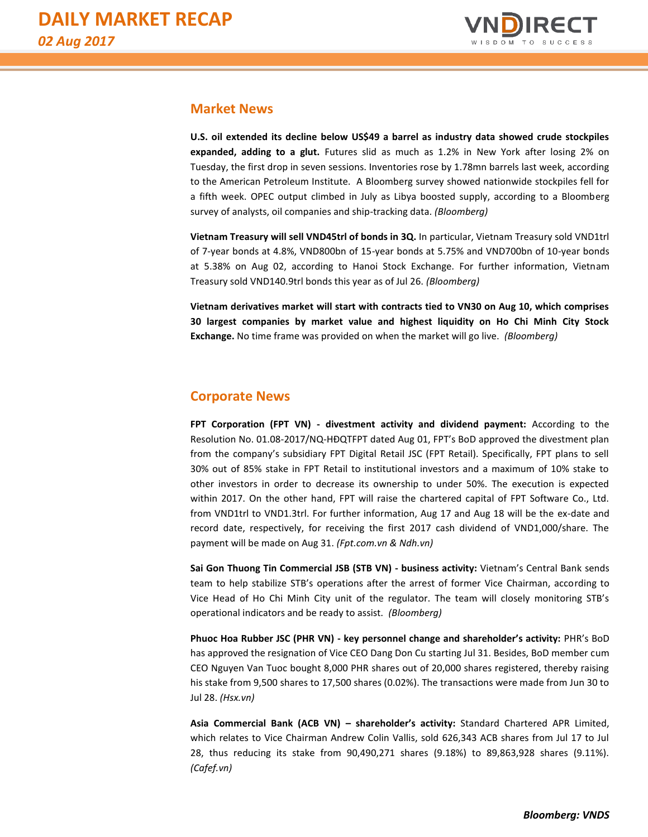

### **Market News**

**U.S. oil extended its decline below US\$49 a barrel as industry data showed crude stockpiles expanded, adding to a glut.** Futures slid as much as 1.2% in New York after losing 2% on Tuesday, the first drop in seven sessions. Inventories rose by 1.78mn barrels last week, according to the American Petroleum Institute. A Bloomberg survey showed nationwide stockpiles fell for a fifth week. OPEC output climbed in July as Libya boosted supply, according to a Bloomberg survey of analysts, oil companies and ship-tracking data. *(Bloomberg)*

**Vietnam Treasury will sell VND45trl of bonds in 3Q.** In particular, Vietnam Treasury sold VND1trl of 7-year bonds at 4.8%, VND800bn of 15-year bonds at 5.75% and VND700bn of 10-year bonds at 5.38% on Aug 02, according to Hanoi Stock Exchange. For further information, Vietnam Treasury sold VND140.9trl bonds this year as of Jul 26. *(Bloomberg)*

**Vietnam derivatives market will start with contracts tied to VN30 on Aug 10, which comprises 30 largest companies by market value and highest liquidity on Ho Chi Minh City Stock Exchange.** No time frame was provided on when the market will go live. *(Bloomberg)*

### **Corporate News**

**FPT Corporation (FPT VN) - divestment activity and dividend payment:** According to the Resolution No. 01.08-2017/NQ-HĐQTFPT dated Aug 01, FPT's BoD approved the divestment plan from the company's subsidiary FPT Digital Retail JSC (FPT Retail). Specifically, FPT plans to sell 30% out of 85% stake in FPT Retail to institutional investors and a maximum of 10% stake to other investors in order to decrease its ownership to under 50%. The execution is expected within 2017. On the other hand, FPT will raise the chartered capital of FPT Software Co., Ltd. from VND1trl to VND1.3trl. For further information, Aug 17 and Aug 18 will be the ex-date and record date, respectively, for receiving the first 2017 cash dividend of VND1,000/share. The payment will be made on Aug 31. *(Fpt.com.vn & Ndh.vn)*

**Sai Gon Thuong Tin Commercial JSB (STB VN) - business activity:** Vietnam's Central Bank sends team to help stabilize STB's operations after the arrest of former Vice Chairman, according to Vice Head of Ho Chi Minh City unit of the regulator. The team will closely monitoring STB's operational indicators and be ready to assist. *(Bloomberg)*

**Phuoc Hoa Rubber JSC (PHR VN) - key personnel change and shareholder's activity:** PHR's BoD has approved the resignation of Vice CEO Dang Don Cu starting Jul 31. Besides, BoD member cum CEO Nguyen Van Tuoc bought 8,000 PHR shares out of 20,000 shares registered, thereby raising his stake from 9,500 shares to 17,500 shares (0.02%). The transactions were made from Jun 30 to Jul 28. *(Hsx.vn)*

**Asia Commercial Bank (ACB VN) – shareholder's activity:** Standard Chartered APR Limited, which relates to Vice Chairman Andrew Colin Vallis, sold 626,343 ACB shares from Jul 17 to Jul 28, thus reducing its stake from 90,490,271 shares (9.18%) to 89,863,928 shares (9.11%). *(Cafef.vn)*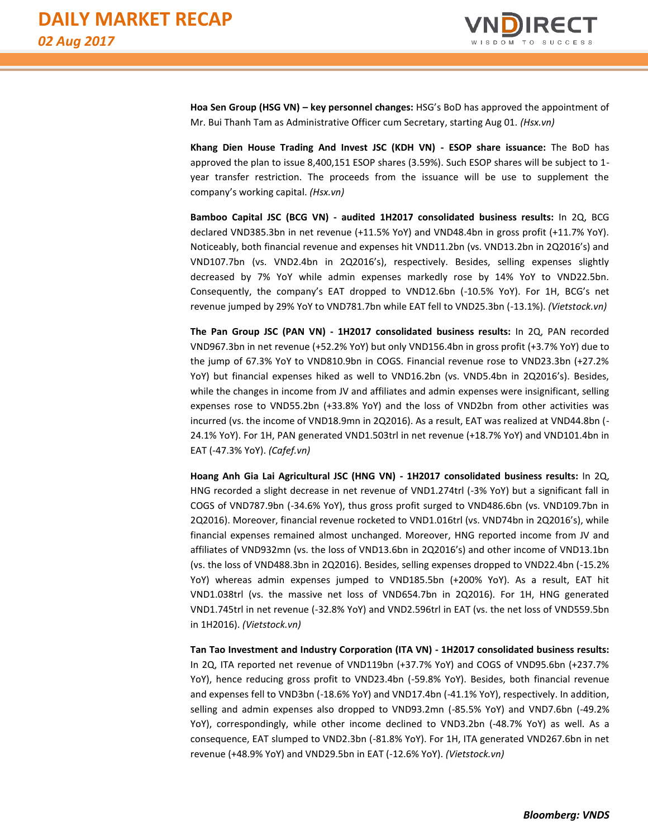

**Hoa Sen Group (HSG VN) – key personnel changes:** HSG's BoD has approved the appointment of Mr. Bui Thanh Tam as Administrative Officer cum Secretary, starting Aug 01. *(Hsx.vn)*

**Khang Dien House Trading And Invest JSC (KDH VN) - ESOP share issuance:** The BoD has approved the plan to issue 8,400,151 ESOP shares (3.59%). Such ESOP shares will be subject to 1 year transfer restriction. The proceeds from the issuance will be use to supplement the company's working capital. *(Hsx.vn)*

**Bamboo Capital JSC (BCG VN) - audited 1H2017 consolidated business results:** In 2Q, BCG declared VND385.3bn in net revenue (+11.5% YoY) and VND48.4bn in gross profit (+11.7% YoY). Noticeably, both financial revenue and expenses hit VND11.2bn (vs. VND13.2bn in 2Q2016's) and VND107.7bn (vs. VND2.4bn in 2Q2016's), respectively. Besides, selling expenses slightly decreased by 7% YoY while admin expenses markedly rose by 14% YoY to VND22.5bn. Consequently, the company's EAT dropped to VND12.6bn (-10.5% YoY). For 1H, BCG's net revenue jumped by 29% YoY to VND781.7bn while EAT fell to VND25.3bn (-13.1%). *(Vietstock.vn)*

**The Pan Group JSC (PAN VN) - 1H2017 consolidated business results:** In 2Q, PAN recorded VND967.3bn in net revenue (+52.2% YoY) but only VND156.4bn in gross profit (+3.7% YoY) due to the jump of 67.3% YoY to VND810.9bn in COGS. Financial revenue rose to VND23.3bn (+27.2% YoY) but financial expenses hiked as well to VND16.2bn (vs. VND5.4bn in 2Q2016's). Besides, while the changes in income from JV and affiliates and admin expenses were insignificant, selling expenses rose to VND55.2bn (+33.8% YoY) and the loss of VND2bn from other activities was incurred (vs. the income of VND18.9mn in 2Q2016). As a result, EAT was realized at VND44.8bn (- 24.1% YoY). For 1H, PAN generated VND1.503trl in net revenue (+18.7% YoY) and VND101.4bn in EAT (-47.3% YoY). *(Cafef.vn)*

**Hoang Anh Gia Lai Agricultural JSC (HNG VN) - 1H2017 consolidated business results:** In 2Q, HNG recorded a slight decrease in net revenue of VND1.274trl (-3% YoY) but a significant fall in COGS of VND787.9bn (-34.6% YoY), thus gross profit surged to VND486.6bn (vs. VND109.7bn in 2Q2016). Moreover, financial revenue rocketed to VND1.016trl (vs. VND74bn in 2Q2016's), while financial expenses remained almost unchanged. Moreover, HNG reported income from JV and affiliates of VND932mn (vs. the loss of VND13.6bn in 2Q2016's) and other income of VND13.1bn (vs. the loss of VND488.3bn in 2Q2016). Besides, selling expenses dropped to VND22.4bn (-15.2% YoY) whereas admin expenses jumped to VND185.5bn (+200% YoY). As a result, EAT hit VND1.038trl (vs. the massive net loss of VND654.7bn in 2Q2016). For 1H, HNG generated VND1.745trl in net revenue (-32.8% YoY) and VND2.596trl in EAT (vs. the net loss of VND559.5bn in 1H2016). *(Vietstock.vn)*

**Tan Tao Investment and Industry Corporation (ITA VN) - 1H2017 consolidated business results:** In 2Q, ITA reported net revenue of VND119bn (+37.7% YoY) and COGS of VND95.6bn (+237.7% YoY), hence reducing gross profit to VND23.4bn (-59.8% YoY). Besides, both financial revenue and expenses fell to VND3bn (-18.6% YoY) and VND17.4bn (-41.1% YoY), respectively. In addition, selling and admin expenses also dropped to VND93.2mn (-85.5% YoY) and VND7.6bn (-49.2% YoY), correspondingly, while other income declined to VND3.2bn (-48.7% YoY) as well. As a consequence, EAT slumped to VND2.3bn (-81.8% YoY). For 1H, ITA generated VND267.6bn in net revenue (+48.9% YoY) and VND29.5bn in EAT (-12.6% YoY). *(Vietstock.vn)*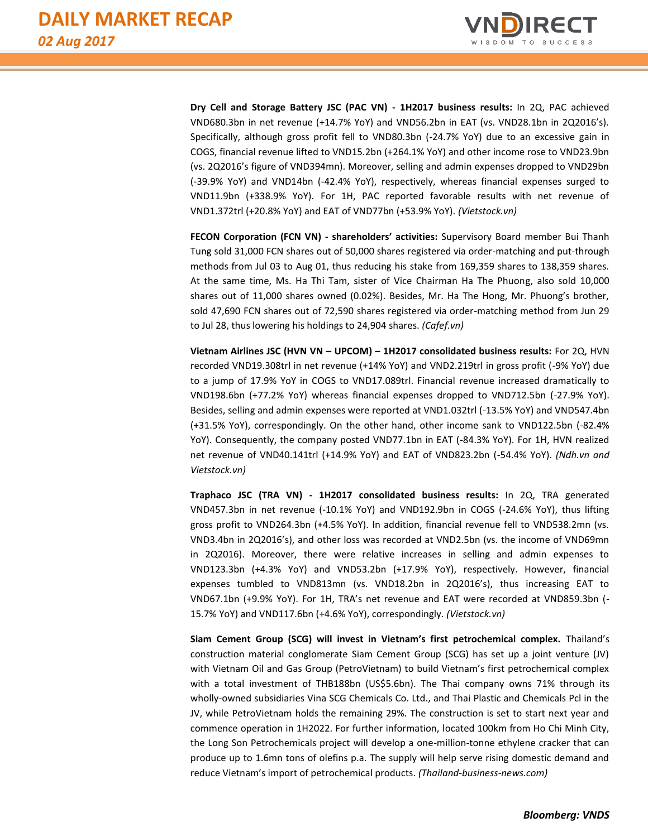

**Dry Cell and Storage Battery JSC (PAC VN) - 1H2017 business results:** In 2Q, PAC achieved VND680.3bn in net revenue (+14.7% YoY) and VND56.2bn in EAT (vs. VND28.1bn in 2Q2016's). Specifically, although gross profit fell to VND80.3bn (-24.7% YoY) due to an excessive gain in COGS, financial revenue lifted to VND15.2bn (+264.1% YoY) and other income rose to VND23.9bn (vs. 2Q2016's figure of VND394mn). Moreover, selling and admin expenses dropped to VND29bn (-39.9% YoY) and VND14bn (-42.4% YoY), respectively, whereas financial expenses surged to VND11.9bn (+338.9% YoY). For 1H, PAC reported favorable results with net revenue of VND1.372trl (+20.8% YoY) and EAT of VND77bn (+53.9% YoY). *(Vietstock.vn)*

**FECON Corporation (FCN VN) - shareholders' activities:** Supervisory Board member Bui Thanh Tung sold 31,000 FCN shares out of 50,000 shares registered via order-matching and put-through methods from Jul 03 to Aug 01, thus reducing his stake from 169,359 shares to 138,359 shares. At the same time, Ms. Ha Thi Tam, sister of Vice Chairman Ha The Phuong, also sold 10,000 shares out of 11,000 shares owned (0.02%). Besides, Mr. Ha The Hong, Mr. Phuong's brother, sold 47,690 FCN shares out of 72,590 shares registered via order-matching method from Jun 29 to Jul 28, thus lowering his holdings to 24,904 shares. *(Cafef.vn)*

**Vietnam Airlines JSC (HVN VN – UPCOM) – 1H2017 consolidated business results:** For 2Q, HVN recorded VND19.308trl in net revenue (+14% YoY) and VND2.219trl in gross profit (-9% YoY) due to a jump of 17.9% YoY in COGS to VND17.089trl. Financial revenue increased dramatically to VND198.6bn (+77.2% YoY) whereas financial expenses dropped to VND712.5bn (-27.9% YoY). Besides, selling and admin expenses were reported at VND1.032trl (-13.5% YoY) and VND547.4bn (+31.5% YoY), correspondingly. On the other hand, other income sank to VND122.5bn (-82.4% YoY). Consequently, the company posted VND77.1bn in EAT (-84.3% YoY). For 1H, HVN realized net revenue of VND40.141trl (+14.9% YoY) and EAT of VND823.2bn (-54.4% YoY). *(Ndh.vn and Vietstock.vn)*

**Traphaco JSC (TRA VN) - 1H2017 consolidated business results:** In 2Q, TRA generated VND457.3bn in net revenue (-10.1% YoY) and VND192.9bn in COGS (-24.6% YoY), thus lifting gross profit to VND264.3bn (+4.5% YoY). In addition, financial revenue fell to VND538.2mn (vs. VND3.4bn in 2Q2016's), and other loss was recorded at VND2.5bn (vs. the income of VND69mn in 2Q2016). Moreover, there were relative increases in selling and admin expenses to VND123.3bn (+4.3% YoY) and VND53.2bn (+17.9% YoY), respectively. However, financial expenses tumbled to VND813mn (vs. VND18.2bn in 2Q2016's), thus increasing EAT to VND67.1bn (+9.9% YoY). For 1H, TRA's net revenue and EAT were recorded at VND859.3bn (- 15.7% YoY) and VND117.6bn (+4.6% YoY), correspondingly. *(Vietstock.vn)*

**Siam Cement Group (SCG) will invest in Vietnam's first petrochemical complex.** Thailand's construction material conglomerate Siam Cement Group (SCG) has set up a joint venture (JV) with Vietnam Oil and Gas Group (PetroVietnam) to build Vietnam's first petrochemical complex with a total investment of THB188bn (US\$5.6bn). The Thai company owns 71% through its wholly-owned subsidiaries Vina SCG Chemicals Co. Ltd., and Thai Plastic and Chemicals Pcl in the JV, while PetroVietnam holds the remaining 29%. The construction is set to start next year and commence operation in 1H2022. For further information, located 100km from Ho Chi Minh City, the Long Son Petrochemicals project will develop a one-million-tonne ethylene cracker that can produce up to 1.6mn tons of olefins p.a. The supply will help serve rising domestic demand and reduce Vietnam's import of petrochemical products. *(Thailand-business-news.com)*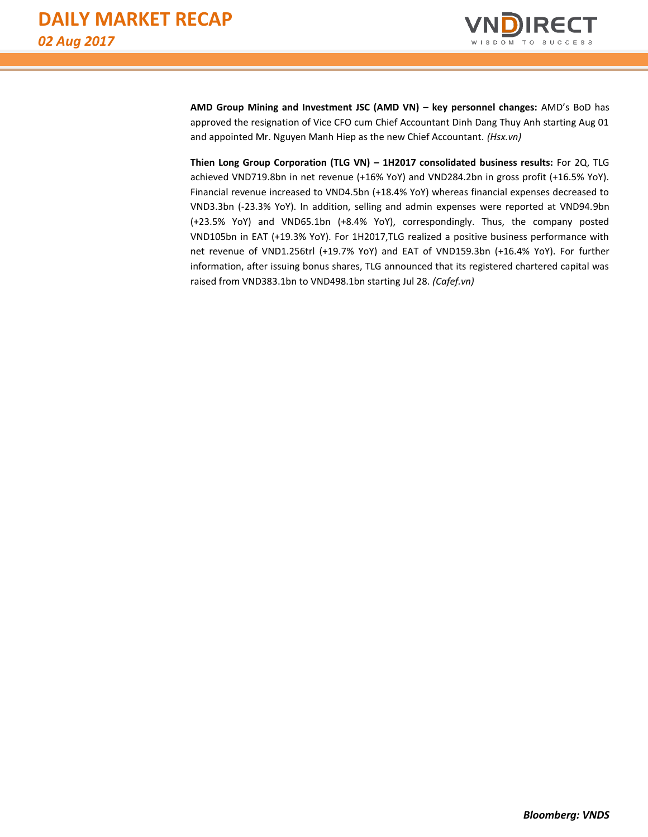

**AMD Group Mining and Investment JSC (AMD VN) – key personnel changes:** AMD's BoD has approved the resignation of Vice CFO cum Chief Accountant Dinh Dang Thuy Anh starting Aug 01 and appointed Mr. Nguyen Manh Hiep as the new Chief Accountant. *(Hsx.vn)*

**Thien Long Group Corporation (TLG VN) – 1H2017 consolidated business results:** For 2Q, TLG achieved VND719.8bn in net revenue (+16% YoY) and VND284.2bn in gross profit (+16.5% YoY). Financial revenue increased to VND4.5bn (+18.4% YoY) whereas financial expenses decreased to VND3.3bn (-23.3% YoY). In addition, selling and admin expenses were reported at VND94.9bn (+23.5% YoY) and VND65.1bn (+8.4% YoY), correspondingly. Thus, the company posted VND105bn in EAT (+19.3% YoY). For 1H2017,TLG realized a positive business performance with net revenue of VND1.256trl (+19.7% YoY) and EAT of VND159.3bn (+16.4% YoY). For further information, after issuing bonus shares, TLG announced that its registered chartered capital was raised from VND383.1bn to VND498.1bn starting Jul 28. *(Cafef.vn)*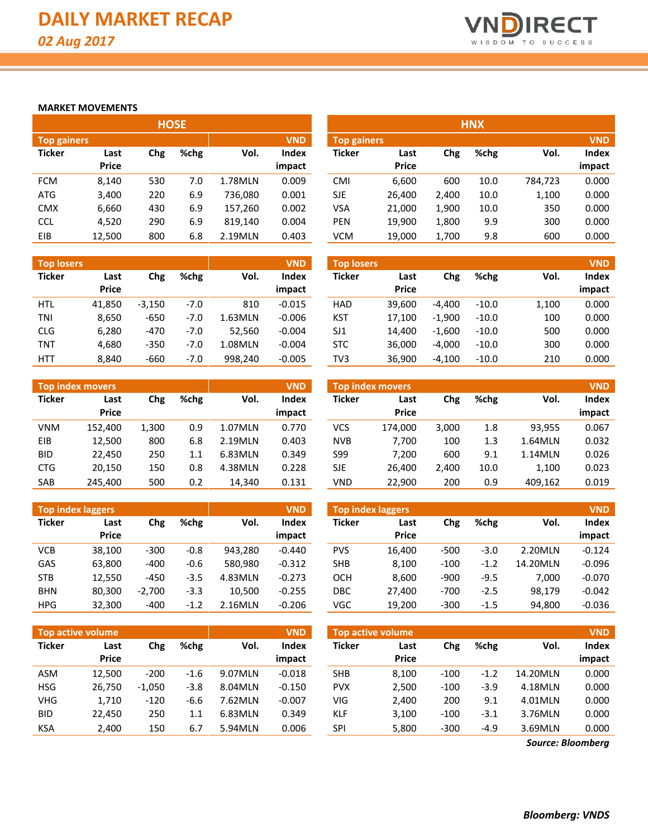

#### **MARKET MOVEMENTS**

|                    |              |     | <b>HOSE</b> |         |              |               |              |       | <b>HNX</b> |         |            |
|--------------------|--------------|-----|-------------|---------|--------------|---------------|--------------|-------|------------|---------|------------|
| <b>Top gainers</b> |              |     |             |         | <b>VND</b>   | Top gainers   |              |       |            |         | <b>VND</b> |
| <b>Ticker</b>      | Last         | Chg | %chg        | Vol.    | <b>Index</b> | <b>Ticker</b> | Last         | Chg   | %chg       | Vol.    | Index      |
|                    | <b>Price</b> |     |             |         | impact       |               | <b>Price</b> |       |            |         | impact     |
| <b>FCM</b>         | 8,140        | 530 | 7.0         | 1.78MLN | 0.009        | <b>CMI</b>    | 6.600        | 600   | 10.0       | 784,723 | 0.000      |
| <b>ATG</b>         | 3,400        | 220 | 6.9         | 736.080 | 0.001        | <b>SJE</b>    | 26,400       | 2,400 | 10.0       | 1,100   | 0.000      |
| <b>CMX</b>         | 6,660        | 430 | 6.9         | 157.260 | 0.002        | VSA           | 21,000       | 1,900 | 10.0       | 350     | 0.000      |
| <b>CCL</b>         | 4,520        | 290 | 6.9         | 819.140 | 0.004        | PEN           | 19,900       | 1,800 | 9.9        | 300     | 0.000      |
| EIB                | 12,500       | 800 | 6.8         | 2.19MLN | 0.403        | <b>VCM</b>    | 19.000       | 1,700 | 9.8        | 600     | 0.000      |

| <b>Top losers</b> |                      |          |        |         | <b>VND</b>             | Top losers    |                      |          |         |       | <b>VND</b>      |
|-------------------|----------------------|----------|--------|---------|------------------------|---------------|----------------------|----------|---------|-------|-----------------|
| <b>Ticker</b>     | Last<br><b>Price</b> | Chg      | %chg   | Vol.    | <b>Index</b><br>impact | <b>Ticker</b> | Last<br><b>Price</b> | Chg      | %chg    | Vol.  | Index<br>impact |
| <b>HTL</b>        | 41.850               | $-3.150$ | $-7.0$ | 810     | $-0.015$               | <b>HAD</b>    | 39.600               | $-4.400$ | $-10.0$ | 1,100 | 0.000           |
| TNI               | 8,650                | $-650$   | $-7.0$ | 1.63MLN | $-0.006$               | <b>KST</b>    | 17.100               | $-1.900$ | $-10.0$ | 100   | 0.000           |
| <b>CLG</b>        | 6,280                | $-470$   | $-7.0$ | 52.560  | $-0.004$               | SJ1           | 14.400               | $-1.600$ | $-10.0$ | 500   | 0.000           |
| <b>TNT</b>        | 4.680                | $-350$   | $-7.0$ | 1.08MLN | $-0.004$               | <b>STC</b>    | 36.000               | $-4.000$ | $-10.0$ | 300   | 0.000           |
| <b>HTT</b>        | 8.840                | $-660$   | $-7.0$ | 998.240 | $-0.005$               | TV3           | 36.900               | $-4,100$ | $-10.0$ | 210   | 0.000           |

|               | <b>VND</b><br><b>Top index movers</b> |       |      |         |        |  |  |  |  |  |  |  |  |
|---------------|---------------------------------------|-------|------|---------|--------|--|--|--|--|--|--|--|--|
| <b>Ticker</b> | Last                                  | Chg   | %chg | Vol.    | Index  |  |  |  |  |  |  |  |  |
|               | Price                                 |       |      |         | impact |  |  |  |  |  |  |  |  |
| <b>VNM</b>    | 152,400                               | 1,300 | 0.9  | 1.07MLN | 0.770  |  |  |  |  |  |  |  |  |
| EIB           | 12,500                                | 800   | 6.8  | 2.19MLN | 0.403  |  |  |  |  |  |  |  |  |
| BID           | 22.450                                | 250   | 1.1  | 6.83MLN | 0.349  |  |  |  |  |  |  |  |  |
| <b>CTG</b>    | 20,150                                | 150   | 0.8  | 4.38MLN | 0.228  |  |  |  |  |  |  |  |  |
| SAB           | 245,400                               | 500   | 0.2  | 14,340  | 0.131  |  |  |  |  |  |  |  |  |

|               | <b>Top index laggers</b> |          |        |         | <b>VND</b> |  |  |  |  |  |  |  |
|---------------|--------------------------|----------|--------|---------|------------|--|--|--|--|--|--|--|
| <b>Ticker</b> | Last                     | Chg      | %chg   | Vol.    | Index      |  |  |  |  |  |  |  |
|               | <b>Price</b>             |          |        |         | impact     |  |  |  |  |  |  |  |
| VCB           | 38.100                   | $-300$   | -0.8   | 943.280 | $-0.440$   |  |  |  |  |  |  |  |
| GAS           | 63,800                   | $-400$   | $-0.6$ | 580,980 | $-0.312$   |  |  |  |  |  |  |  |
| <b>STB</b>    | 12,550                   | $-450$   | $-3.5$ | 4.83MLN | $-0.273$   |  |  |  |  |  |  |  |
| <b>BHN</b>    | 80,300                   | $-2,700$ | $-3.3$ | 10,500  | $-0.255$   |  |  |  |  |  |  |  |
| HPG           | 32,300                   | -400     | $-1.2$ | 2.16MLN | $-0.206$   |  |  |  |  |  |  |  |

| <b>Top gainers</b> |              |      |      |         | <b>VND</b>   | <b>Top gainers</b> |              |       |      |         |        |  |
|--------------------|--------------|------|------|---------|--------------|--------------------|--------------|-------|------|---------|--------|--|
| Ticker             | Last         | Chg  | %chg | Vol.    | <b>Index</b> | Ticker             | Last         | Chg   | %chg | Vol.    | Index  |  |
|                    | <b>Price</b> |      |      |         | impact       |                    | <b>Price</b> |       |      |         | impact |  |
| <b>FCM</b>         | 8,140        | 530  | 7.0  | 1.78MLN | 0.009        | CMI                | 6.600        | 600   | 10.0 | 784,723 | 0.000  |  |
| ATG                | 3,400        | 220  | 6.9  | 736,080 | 0.001        | <b>SJE</b>         | 26.400       | 2,400 | 10.0 | 1,100   | 0.000  |  |
| <b>CMX</b>         | 6,660        | 430  | 6.9  | 157,260 | 0.002        | VSA                | 21.000       | 1,900 | 10.0 | 350     | 0.000  |  |
| CCL                | 4,520        | 290  | 6.9  | 819,140 | 0.004        | PEN                | 19.900       | 1,800 | 9.9  | 300     | 0.000  |  |
| <b>FIR</b>         | 12.500       | 800. | 68   | 2 19MIN | በ 403        | <b>VCM</b>         | 19 NN        | 1 700 | 9 R  | 600     | n nnn  |  |

| <b>Top losers</b> |                      |          |        |         | <b>VND</b>             | <b>Top losers</b> |                      |          |         |       |                 |  |
|-------------------|----------------------|----------|--------|---------|------------------------|-------------------|----------------------|----------|---------|-------|-----------------|--|
| Ticker            | Last<br><b>Price</b> | Chg      | %chg   | Vol.    | <b>Index</b><br>impact | Ticker            | Last<br><b>Price</b> | Chg      | %chg    | Vol.  | Index<br>impact |  |
| HTL               | 41,850               | $-3.150$ | $-7.0$ | 810     | $-0.015$               | <b>HAD</b>        | 39.600               | $-4.400$ | $-10.0$ | 1,100 | 0.000           |  |
| TNI               | 8,650                | $-650$   | $-7.0$ | 1.63MLN | $-0.006$               | <b>KST</b>        | 17,100               | $-1.900$ | $-10.0$ | 100   | 0.000           |  |
| CLG               | 6,280                | $-470$   | $-7.0$ | 52.560  | $-0.004$               | SJ1               | 14.400               | $-1.600$ | $-10.0$ | 500   | 0.000           |  |
| TNT               | 4,680                | $-350$   | $-7.0$ | 1.08MLN | $-0.004$               | <b>STC</b>        | 36.000               | $-4,000$ | $-10.0$ | 300   | 0.000           |  |
| HTT               | 8.840                | $-660$   | $-7.0$ | 998.240 | $-0.005$               | TV3               | 36.900               | $-4.100$ | $-10.0$ | 210   | 0.000           |  |

|            | Top index movers' |       |      |         | <b>VND</b>   |            | <b>Top index movers</b> |       |      |         | <b>VND</b> |
|------------|-------------------|-------|------|---------|--------------|------------|-------------------------|-------|------|---------|------------|
| Ticker     | Last              | Chg   | %chg | Vol.    | <b>Index</b> | Ticker     | Last                    | Chg   | %chg | Vol.    | Index      |
|            | <b>Price</b>      |       |      |         | impact       |            | <b>Price</b>            |       |      |         | impact     |
| VNM        | 152,400           | 1,300 | 0.9  | 1.07MLN | 0.770        | VCS        | 174.000                 | 3,000 | 1.8  | 93.955  | 0.067      |
| EIB        | 12,500            | 800   | 6.8  | 2.19MLN | 0.403        | <b>NVB</b> | 7.700                   | 100   | 1.3  | 1.64MLN | 0.032      |
| <b>BID</b> | 22.450            | 250   | 1.1  | 6.83MLN | 0.349        | S99        | 7.200                   | 600   | 9.1  | 1.14MLN | 0.026      |
| <b>CTG</b> | 20,150            | 150   | 0.8  | 4.38MLN | 0.228        | SJE        | 26.400                  | 2.400 | 10.0 | 1,100   | 0.023      |
| SAB        | 245,400           | 500   | 0.2  | 14,340  | 0.131        | VND        | 22.900                  | 200   | 0.9  | 409,162 | 0.019      |

|            | <b>Top index laggers</b> |          |        |         | <b>VND</b>   | <b>Top index laggers</b> |              |        |        |          | <b>VND</b>   |
|------------|--------------------------|----------|--------|---------|--------------|--------------------------|--------------|--------|--------|----------|--------------|
| Ticker     | Last                     | Chg      | %chg   | Vol.    | <b>Index</b> | <b>Ticker</b>            | Last         | Chg    | %chg   | Vol.     | <b>Index</b> |
|            | <b>Price</b>             |          |        |         | impact       |                          | <b>Price</b> |        |        |          | impact       |
| VCB        | 38,100                   | $-300$   | $-0.8$ | 943.280 | $-0.440$     | <b>PVS</b>               | 16,400       | $-500$ | $-3.0$ | 2.20MLN  | $-0.124$     |
| GAS        | 63,800                   | $-400$   | $-0.6$ | 580.980 | $-0.312$     | <b>SHB</b>               | 8,100        | $-100$ | $-1.2$ | 14.20MLN | $-0.096$     |
| <b>STB</b> | 12,550                   | $-450$   | $-3.5$ | 4.83MLN | $-0.273$     | OCH                      | 8,600        | $-900$ | $-9.5$ | 7.000    | $-0.070$     |
| <b>BHN</b> | 80,300                   | $-2.700$ | $-3.3$ | 10.500  | $-0.255$     | <b>DBC</b>               | 27,400       | $-700$ | $-2.5$ | 98.179   | $-0.042$     |
| <b>HPG</b> | 32,300                   | $-400$   | $-1.2$ | 2.16MLN | $-0.206$     | VGC                      | 19,200       | $-300$ | $-1.5$ | 94,800   | $-0.036$     |
|            |                          |          |        |         |              |                          |              |        |        |          |              |

|            | <b>Top active volume</b> |             |        |         | <b>VND</b>   | <b>Top active volume</b> |                      |        |        |          | <b>VND</b>   |
|------------|--------------------------|-------------|--------|---------|--------------|--------------------------|----------------------|--------|--------|----------|--------------|
| Ticker     | Last<br><b>Price</b>     | %chg<br>Chg |        | Vol.    | <b>Index</b> | <b>Ticker</b>            | Last<br><b>Price</b> | Chg    | %chg   | Vol.     | <b>Index</b> |
|            |                          |             |        |         | impact       |                          |                      |        |        |          | impact       |
| ASM        | 12,500                   | $-200$      | $-1.6$ | 9.07MLN | $-0.018$     | <b>SHB</b>               | 8.100                | $-100$ | $-1.2$ | 14.20MLN | 0.000        |
| HSG        | 26,750                   | $-1.050$    | -3.8   | 8.04MLN | $-0.150$     | <b>PVX</b>               | 2.500                | $-100$ | $-3.9$ | 4.18MLN  | 0.000        |
| VHG        | 1.710                    | $-120$      | $-6.6$ | 7.62MLN | $-0.007$     | VIG.                     | 2.400                | 200    | 9.1    | 4.01MLN  | 0.000        |
| <b>BID</b> | 22.450                   | 250         | 1.1    | 6.83MLN | 0.349        | <b>KLF</b>               | 3,100                | $-100$ | $-3.1$ | 3.76MLN  | 0.000        |
| KSA        | 2,400                    | 150         | 6.7    | 5.94MLN | 0.006        | SPI                      | 5,800                | $-300$ | $-4.9$ | 3.69MLN  | 0.000        |

*Source: Bloomberg*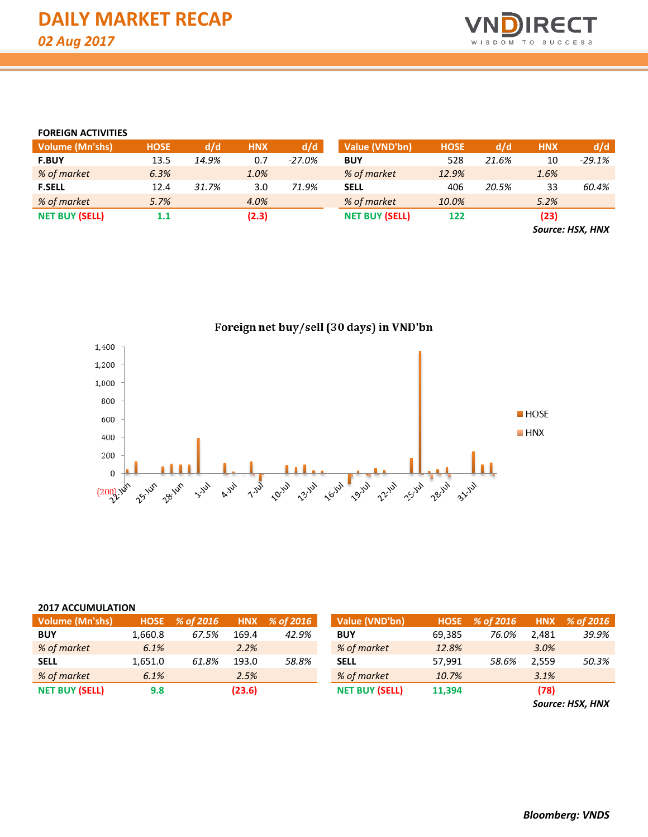

#### **FOREIGN ACTIVITIES**

| <b>Volume (Mn'shs)</b> | <b>HOSE</b> | d/d   | <b>HNX</b> | d/d      | Value (VND'bn)        | <b>HOSE</b> | d/d   | <b>HNX</b> | d/d      |
|------------------------|-------------|-------|------------|----------|-----------------------|-------------|-------|------------|----------|
| <b>F.BUY</b>           | 13.5        | 14.9% | 0.7        | $-27.0%$ | <b>BUY</b>            | 528         | 21.6% | 10         | $-29.1%$ |
| % of market            | 6.3%        |       | 1.0%       |          | % of market           | 12.9%       |       | 1.6%       |          |
| <b>F.SELL</b>          | 12.4        | 31.7% | 3.0        | 71.9%    | <b>SELL</b>           | 406         | 20.5% | 33         | 60.4%    |
| % of market            | 5.7%        |       | 4.0%       |          | % of market           | 10.0%       |       | 5.2%       |          |
| <b>NET BUY (SELL)</b>  | 1.1         |       | (2.3)      |          | <b>NET BUY (SELL)</b> | 122         |       | (23)       |          |
|                        |             |       |            |          |                       |             |       | $\sim$     | .        |

*Source: HSX, HNX*



#### **2017 ACCUMULATION**

| <b>Volume (Mn'shs)</b> | <b>HOSE</b> | % of 2016 |        | $HNX \; % of 2016$ | Value (VND'bn)        |        | HOSE % of 2016 |       | HNX % of 2016 |
|------------------------|-------------|-----------|--------|--------------------|-----------------------|--------|----------------|-------|---------------|
| <b>BUY</b>             | 1,660.8     | 67.5%     | 169.4  | 42.9%              | <b>BUY</b>            | 69,385 | 76.0%          | 2.481 | 39.9%         |
| % of market            | 6.1%        |           | 2.2%   |                    | % of market           | 12.8%  |                | 3.0%  |               |
| <b>SELL</b>            | 1,651.0     | 61.8%     | 193.0  | 58.8%              | <b>SELL</b>           | 57.991 | 58.6%          | 2.559 | 50.3%         |
| % of market            | 6.1%        |           | 2.5%   |                    | % of market           | 10.7%  |                | 3.1%  |               |
| <b>NET BUY (SELL)</b>  | 9.8         |           | (23.6) |                    | <b>NET BUY (SELL)</b> | 11,394 |                | (78)  |               |

*Source: HSX, HNX*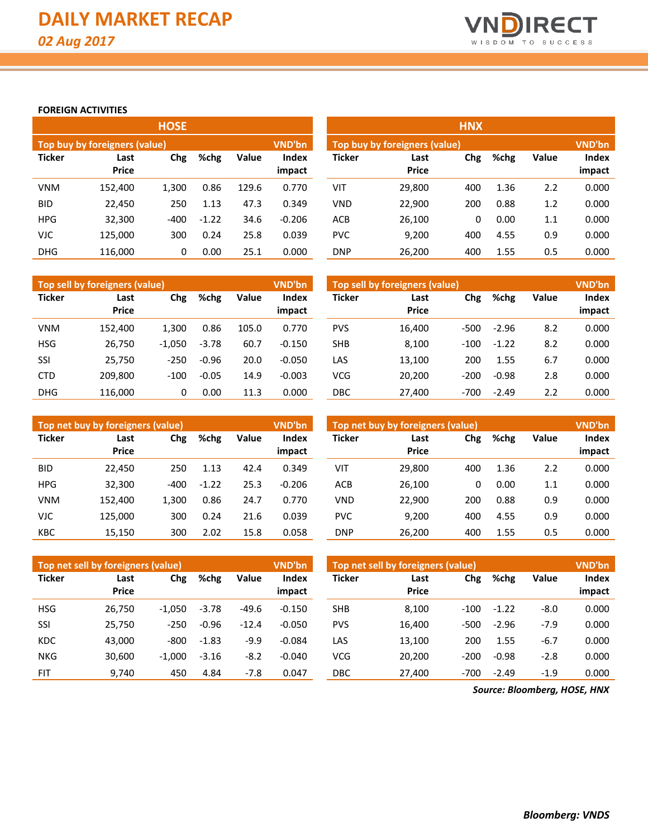

#### **FOREIGN ACTIVITIES**

|               |                               | <b>HOSE</b> |         |       |                        | <b>HNX</b>    |                                                |     |      |       |                        |  |  |  |
|---------------|-------------------------------|-------------|---------|-------|------------------------|---------------|------------------------------------------------|-----|------|-------|------------------------|--|--|--|
|               | Top buy by foreigners (value) |             |         |       | <b>VND'bn</b>          |               | <b>VND'bn</b><br>Top buy by foreigners (value) |     |      |       |                        |  |  |  |
| <b>Ticker</b> | Last<br><b>Price</b>          | Chg         | %chg    | Value | <b>Index</b><br>impact | <b>Ticker</b> | Last<br><b>Price</b>                           | Chg | %chg | Value | <b>Index</b><br>impact |  |  |  |
| <b>VNM</b>    | 152.400                       | 1,300       | 0.86    | 129.6 | 0.770                  | VIT           | 29,800                                         | 400 | 1.36 | 2.2   | 0.000                  |  |  |  |
| BID.          | 22,450                        | 250         | 1.13    | 47.3  | 0.349                  | <b>VND</b>    | 22,900                                         | 200 | 0.88 | 1.2   | 0.000                  |  |  |  |
| <b>HPG</b>    | 32,300                        | $-400$      | $-1.22$ | 34.6  | $-0.206$               | <b>ACB</b>    | 26,100                                         | 0   | 0.00 | 1.1   | 0.000                  |  |  |  |
| VJC           | 125.000                       | 300         | 0.24    | 25.8  | 0.039                  | <b>PVC</b>    | 9,200                                          | 400 | 4.55 | 0.9   | 0.000                  |  |  |  |
| <b>DHG</b>    | 116.000                       | 0           | 0.00    | 25.1  | 0.000                  | <b>DNP</b>    | 26,200                                         | 400 | 1.55 | 0.5   | 0.000                  |  |  |  |

|               | Top sell by foreigners (value) |             |         |                                 | VND'bn   | Top sell by foreigners (value) |                      |        |         |              |                        |
|---------------|--------------------------------|-------------|---------|---------------------------------|----------|--------------------------------|----------------------|--------|---------|--------------|------------------------|
| <b>Ticker</b> | Last<br><b>Price</b>           | %chg<br>Chg |         | Value<br><b>Index</b><br>impact |          | <b>Ticker</b>                  | Last<br><b>Price</b> | Chg    | %chg    | <b>Value</b> | <b>Index</b><br>impact |
| <b>VNM</b>    | 152.400                        | 1,300       | 0.86    | 105.0                           | 0.770    | <b>PVS</b>                     | 16,400               | $-500$ | $-2.96$ | 8.2          | 0.000                  |
| <b>HSG</b>    | 26,750                         | $-1.050$    | $-3.78$ | 60.7                            | $-0.150$ | <b>SHB</b>                     | 8,100                | $-100$ | $-1.22$ | 8.2          | 0.000                  |
| SSI           | 25,750                         | $-250$      | $-0.96$ | 20.0                            | $-0.050$ | LAS                            | 13,100               | 200    | 1.55    | 6.7          | 0.000                  |
| <b>CTD</b>    | 209.800                        | $-100$      | $-0.05$ | 14.9                            | $-0.003$ | <b>VCG</b>                     | 20.200               | $-200$ | $-0.98$ | 2.8          | 0.000                  |
| <b>DHG</b>    | 116.000                        | 0           | 0.00    | 11.3                            | 0.000    | DBC                            | 27.400               | $-700$ | $-2.49$ | 2.2          | 0.000                  |

|               | Top net buy by foreigners (value) |        |         |                          | VND'bn   | Top net buy by foreigners (value) | <b>VND'bn</b>        |     |      |              |                 |
|---------------|-----------------------------------|--------|---------|--------------------------|----------|-----------------------------------|----------------------|-----|------|--------------|-----------------|
| <b>Ticker</b> | Last<br><b>Price</b>              | Chg    | %chg    | Value<br>Index<br>impact |          | <b>Ticker</b>                     | Last<br><b>Price</b> | Chg | %chg | <b>Value</b> | Index<br>impact |
| <b>BID</b>    | 22.450                            | 250    | 1.13    | 42.4                     | 0.349    | VIT                               | 29.800               | 400 | 1.36 | 2.2          | 0.000           |
| <b>HPG</b>    | 32.300                            | $-400$ | $-1.22$ | 25.3                     | $-0.206$ | <b>ACB</b>                        | 26.100               | 0   | 0.00 | 1.1          | 0.000           |
| <b>VNM</b>    | 152.400                           | 1,300  | 0.86    | 24.7                     | 0.770    | <b>VND</b>                        | 22.900               | 200 | 0.88 | 0.9          | 0.000           |
| <b>VJC</b>    | 125.000                           | 300    | 0.24    | 21.6                     | 0.039    | <b>PVC</b>                        | 9,200                | 400 | 4.55 | 0.9          | 0.000           |
| <b>KBC</b>    | 15,150                            | 300    | 2.02    | 15.8                     | 0.058    | <b>DNP</b>                        | 26,200               | 400 | 1.55 | 0.5          | 0.000           |

|               | Top net sell by foreigners (value) |          |         |         | <b>VND'bn</b> | Top net sell by foreigners (value) | <b>VND'bn</b> |        |             |        |        |
|---------------|------------------------------------|----------|---------|---------|---------------|------------------------------------|---------------|--------|-------------|--------|--------|
| <b>Ticker</b> | Last                               | Chg      | %chg    | Value   | Index         | Ticker                             | Last          |        | Chg<br>%chg |        | Index  |
|               | <b>Price</b>                       |          |         |         | impact        |                                    | <b>Price</b>  |        |             |        | impact |
| <b>HSG</b>    | 26,750                             | $-1.050$ | $-3.78$ | $-49.6$ | $-0.150$      | <b>SHB</b>                         | 8.100         | $-100$ | $-1.22$     | $-8.0$ | 0.000  |
| SSI           | 25,750                             | $-250$   | $-0.96$ | $-12.4$ | $-0.050$      | <b>PVS</b>                         | 16.400        | $-500$ | $-2.96$     | $-7.9$ | 0.000  |
| <b>KDC</b>    | 43,000                             | $-800$   | $-1.83$ | $-9.9$  | $-0.084$      | LAS                                | 13,100        | 200    | 1.55        | $-6.7$ | 0.000  |
| <b>NKG</b>    | 30.600                             | $-1.000$ | $-3.16$ | $-8.2$  | $-0.040$      | <b>VCG</b>                         | 20.200        | $-200$ | $-0.98$     | $-2.8$ | 0.000  |
| <b>FIT</b>    | 9,740                              | 450      | 4.84    | $-7.8$  | 0.047         | DBC                                | 27.400        | $-700$ | $-2.49$     | $-1.9$ | 0.000  |

*Source: Bloomberg, HOSE, HNX*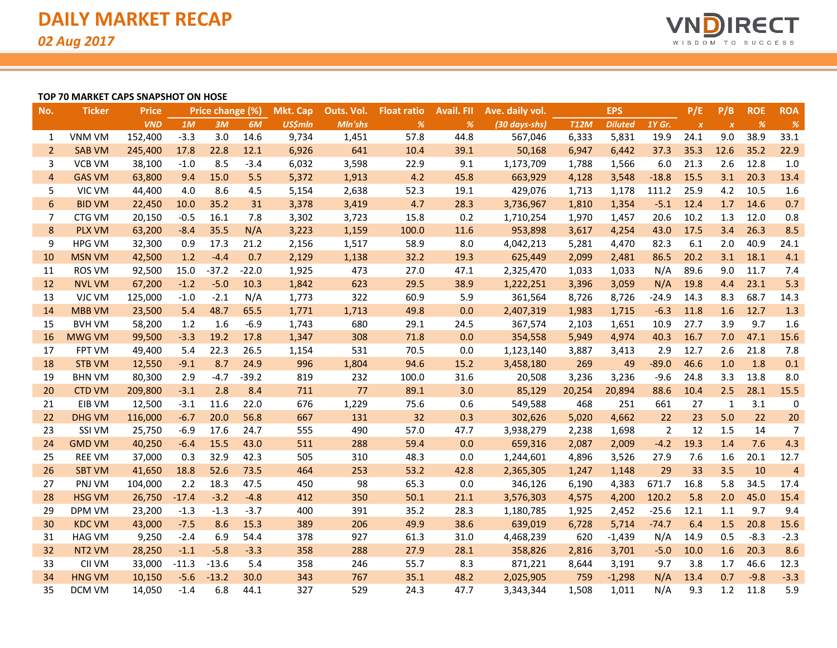

#### **TOP 70 MARKET CAPS SNAPSHOT ON HOSE**

| No.            | <b>Ticker</b> | <b>Price</b> |         | Price change (%) |         | <b>Mkt. Cap</b> | Outs. Vol. | <b>Float ratio</b> | <b>Avail. FII</b> | Ave. daily vol. |             | <b>EPS</b>     |                | P/E              | P/B              | <b>ROE</b> | <b>ROA</b>     |
|----------------|---------------|--------------|---------|------------------|---------|-----------------|------------|--------------------|-------------------|-----------------|-------------|----------------|----------------|------------------|------------------|------------|----------------|
|                |               | <b>VND</b>   | 1M      | 3M               | 6M      | <b>US\$mln</b>  | Mln'shs    | %                  | %                 | (30 days-shs)   | <b>T12M</b> | <b>Diluted</b> | 1Y Gr.         | $\boldsymbol{X}$ | $\boldsymbol{X}$ | %          | $\frac{9}{6}$  |
| 1              | <b>VNM VM</b> | 152,400      | $-3.3$  | 3.0              | 14.6    | 9,734           | 1,451      | 57.8               | 44.8              | 567,046         | 6,333       | 5,831          | 19.9           | 24.1             | 9.0              | 38.9       | 33.1           |
| $\overline{2}$ | <b>SAB VM</b> | 245,400      | 17.8    | 22.8             | 12.1    | 6,926           | 641        | 10.4               | 39.1              | 50,168          | 6,947       | 6,442          | 37.3           | 35.3             | 12.6             | 35.2       | 22.9           |
| 3              | <b>VCB VM</b> | 38,100       | $-1.0$  | 8.5              | $-3.4$  | 6,032           | 3,598      | 22.9               | 9.1               | 1,173,709       | 1,788       | 1,566          | 6.0            | 21.3             | 2.6              | 12.8       | 1.0            |
| 4              | <b>GAS VM</b> | 63,800       | 9.4     | 15.0             | 5.5     | 5,372           | 1,913      | 4.2                | 45.8              | 663,929         | 4,128       | 3,548          | $-18.8$        | 15.5             | 3.1              | 20.3       | 13.4           |
| 5              | VIC VM        | 44,400       | 4.0     | 8.6              | 4.5     | 5,154           | 2,638      | 52.3               | 19.1              | 429,076         | 1,713       | 1,178          | 111.2          | 25.9             | 4.2              | 10.5       | 1.6            |
| 6              | <b>BID VM</b> | 22,450       | 10.0    | 35.2             | 31      | 3,378           | 3,419      | 4.7                | 28.3              | 3,736,967       | 1,810       | 1,354          | $-5.1$         | 12.4             | 1.7              | 14.6       | 0.7            |
| 7              | CTG VM        | 20,150       | $-0.5$  | 16.1             | 7.8     | 3,302           | 3,723      | 15.8               | 0.2               | 1,710,254       | 1,970       | 1,457          | 20.6           | 10.2             | 1.3              | 12.0       | 0.8            |
| 8              | <b>PLX VM</b> | 63,200       | $-8.4$  | 35.5             | N/A     | 3,223           | 1,159      | 100.0              | 11.6              | 953,898         | 3,617       | 4,254          | 43.0           | 17.5             | 3.4              | 26.3       | 8.5            |
| 9              | <b>HPG VM</b> | 32,300       | 0.9     | 17.3             | 21.2    | 2,156           | 1,517      | 58.9               | 8.0               | 4,042,213       | 5,281       | 4,470          | 82.3           | 6.1              | 2.0              | 40.9       | 24.1           |
| 10             | <b>MSN VM</b> | 42,500       | 1.2     | $-4.4$           | 0.7     | 2,129           | 1,138      | 32.2               | 19.3              | 625,449         | 2,099       | 2,481          | 86.5           | 20.2             | 3.1              | 18.1       | 4.1            |
| 11             | <b>ROS VM</b> | 92,500       | 15.0    | $-37.2$          | $-22.0$ | 1,925           | 473        | 27.0               | 47.1              | 2,325,470       | 1,033       | 1,033          | N/A            | 89.6             | 9.0              | 11.7       | 7.4            |
| 12             | <b>NVL VM</b> | 67,200       | $-1.2$  | $-5.0$           | 10.3    | 1,842           | 623        | 29.5               | 38.9              | 1,222,251       | 3,396       | 3,059          | N/A            | 19.8             | 4.4              | 23.1       | 5.3            |
| 13             | VJC VM        | 125,000      | $-1.0$  | $-2.1$           | N/A     | 1,773           | 322        | 60.9               | 5.9               | 361,564         | 8,726       | 8,726          | $-24.9$        | 14.3             | 8.3              | 68.7       | 14.3           |
| 14             | <b>MBB VM</b> | 23,500       | 5.4     | 48.7             | 65.5    | 1,771           | 1,713      | 49.8               | 0.0               | 2,407,319       | 1,983       | 1,715          | $-6.3$         | 11.8             | 1.6              | 12.7       | 1.3            |
| 15             | <b>BVH VM</b> | 58,200       | 1.2     | 1.6              | $-6.9$  | 1,743           | 680        | 29.1               | 24.5              | 367,574         | 2,103       | 1,651          | 10.9           | 27.7             | 3.9              | 9.7        | 1.6            |
| 16             | <b>MWG VM</b> | 99,500       | $-3.3$  | 19.2             | 17.8    | 1,347           | 308        | 71.8               | 0.0               | 354,558         | 5,949       | 4,974          | 40.3           | 16.7             | 7.0              | 47.1       | 15.6           |
| 17             | <b>FPT VM</b> | 49,400       | 5.4     | 22.3             | 26.5    | 1,154           | 531        | 70.5               | 0.0               | 1,123,140       | 3,887       | 3,413          | 2.9            | 12.7             | 2.6              | 21.8       | 7.8            |
| 18             | <b>STB VM</b> | 12,550       | $-9.1$  | 8.7              | 24.9    | 996             | 1,804      | 94.6               | 15.2              | 3,458,180       | 269         | 49             | $-89.0$        | 46.6             | 1.0              | 1.8        | 0.1            |
| 19             | <b>BHN VM</b> | 80,300       | 2.9     | $-4.7$           | $-39.2$ | 819             | 232        | 100.0              | 31.6              | 20,508          | 3,236       | 3,236          | $-9.6$         | 24.8             | 3.3              | 13.8       | 8.0            |
| 20             | <b>CTD VM</b> | 209,800      | $-3.1$  | 2.8              | 8.4     | 711             | 77         | 89.1               | 3.0               | 85,129          | 20,254      | 20,894         | 88.6           | 10.4             | 2.5              | 28.1       | 15.5           |
| 21             | EIB VM        | 12,500       | $-3.1$  | 11.6             | 22.0    | 676             | 1,229      | 75.6               | 0.6               | 549,588         | 468         | 251            | 661            | 27               | 1                | 3.1        | 0              |
| 22             | <b>DHG VM</b> | 116,000      | $-6.7$  | 20.0             | 56.8    | 667             | 131        | 32                 | 0.3               | 302,626         | 5,020       | 4,662          | 22             | 23               | 5.0              | 22         | 20             |
| 23             | SSI VM        | 25,750       | $-6.9$  | 17.6             | 24.7    | 555             | 490        | 57.0               | 47.7              | 3,938,279       | 2,238       | 1,698          | $\overline{2}$ | 12               | 1.5              | 14         | $\overline{7}$ |
| 24             | <b>GMD VM</b> | 40,250       | $-6.4$  | 15.5             | 43.0    | 511             | 288        | 59.4               | 0.0               | 659,316         | 2,087       | 2,009          | $-4.2$         | 19.3             | 1.4              | 7.6        | 4.3            |
| 25             | <b>REE VM</b> | 37,000       | 0.3     | 32.9             | 42.3    | 505             | 310        | 48.3               | 0.0               | 1,244,601       | 4,896       | 3,526          | 27.9           | 7.6              | 1.6              | 20.1       | 12.7           |
| 26             | <b>SBT VM</b> | 41,650       | 18.8    | 52.6             | 73.5    | 464             | 253        | 53.2               | 42.8              | 2,365,305       | 1,247       | 1,148          | 29             | 33               | 3.5              | 10         | $\overline{4}$ |
| 27             | PNJ VM        | 104,000      | 2.2     | 18.3             | 47.5    | 450             | 98         | 65.3               | 0.0               | 346,126         | 6,190       | 4,383          | 671.7          | 16.8             | 5.8              | 34.5       | 17.4           |
| 28             | <b>HSG VM</b> | 26,750       | $-17.4$ | $-3.2$           | $-4.8$  | 412             | 350        | 50.1               | 21.1              | 3,576,303       | 4,575       | 4,200          | 120.2          | 5.8              | 2.0              | 45.0       | 15.4           |
| 29             | <b>DPM VM</b> | 23,200       | $-1.3$  | $-1.3$           | $-3.7$  | 400             | 391        | 35.2               | 28.3              | 1,180,785       | 1,925       | 2,452          | $-25.6$        | 12.1             | 1.1              | 9.7        | 9.4            |
| 30             | <b>KDC VM</b> | 43,000       | $-7.5$  | 8.6              | 15.3    | 389             | 206        | 49.9               | 38.6              | 639,019         | 6,728       | 5,714          | $-74.7$        | 6.4              | 1.5              | 20.8       | 15.6           |
| 31             | <b>HAG VM</b> | 9,250        | $-2.4$  | 6.9              | 54.4    | 378             | 927        | 61.3               | 31.0              | 4,468,239       | 620         | $-1,439$       | N/A            | 14.9             | 0.5              | $-8.3$     | $-2.3$         |
| 32             | NT2 VM        | 28,250       | $-1.1$  | $-5.8$           | $-3.3$  | 358             | 288        | 27.9               | 28.1              | 358,826         | 2,816       | 3,701          | $-5.0$         | 10.0             | 1.6              | 20.3       | 8.6            |
| 33             | CII VM        | 33,000       | $-11.3$ | $-13.6$          | 5.4     | 358             | 246        | 55.7               | 8.3               | 871,221         | 8,644       | 3,191          | 9.7            | 3.8              | 1.7              | 46.6       | 12.3           |
| 34             | <b>HNG VM</b> | 10,150       | $-5.6$  | $-13.2$          | 30.0    | 343             | 767        | 35.1               | 48.2              | 2,025,905       | 759         | $-1,298$       | N/A            | 13.4             | 0.7              | $-9.8$     | $-3.3$         |
| 35             | DCM VM        | 14,050       | $-1.4$  | 6.8              | 44.1    | 327             | 529        | 24.3               | 47.7              | 3,343,344       | 1,508       | 1,011          | N/A            | 9.3              | 1.2              | 11.8       | 5.9            |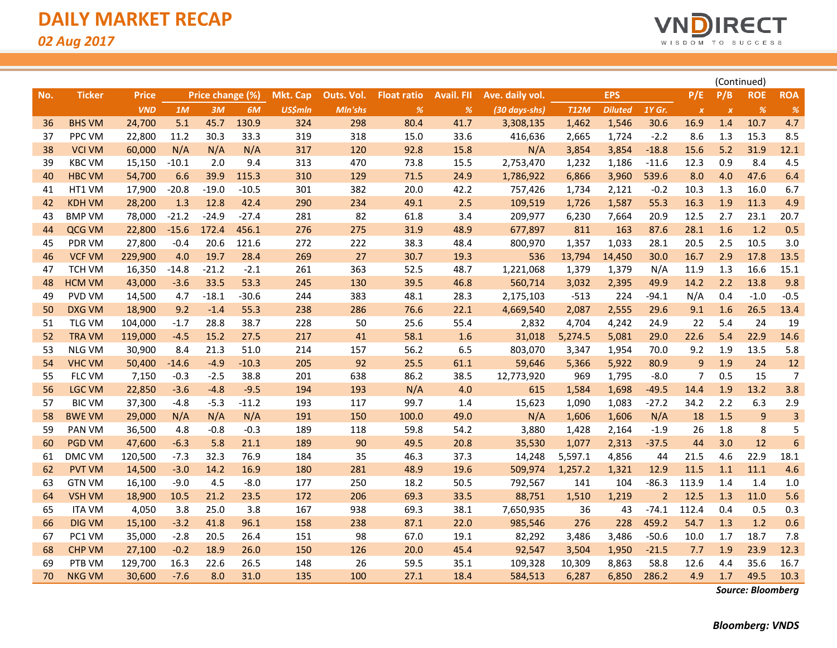

|     |               |              |         |                  |         |                 |            |                    |                   |                 |             |                | (Continued)    |                  |                  |                |                |
|-----|---------------|--------------|---------|------------------|---------|-----------------|------------|--------------------|-------------------|-----------------|-------------|----------------|----------------|------------------|------------------|----------------|----------------|
| No. | <b>Ticker</b> | <b>Price</b> |         | Price change (%) |         | <b>Mkt. Cap</b> | Outs. Vol. | <b>Float ratio</b> | <b>Avail. FII</b> | Ave. daily vol. |             | <b>EPS</b>     |                | P/E              | P/B              | <b>ROE</b>     | <b>ROA</b>     |
|     |               | <b>VND</b>   | 1M      | 3M               | 6M      | <b>US\$mln</b>  | Mln'shs    | $\%$               | %                 | (30 days-shs)   | <b>T12M</b> | <b>Diluted</b> | $1Y$ Gr.       | $\boldsymbol{X}$ | $\boldsymbol{x}$ | %              | $\%$           |
| 36  | <b>BHS VM</b> | 24,700       | 5.1     | 45.7             | 130.9   | 324             | 298        | 80.4               | 41.7              | 3,308,135       | 1,462       | 1,546          | 30.6           | 16.9             | 1.4              | 10.7           | 4.7            |
| 37  | PPC VM        | 22,800       | 11.2    | 30.3             | 33.3    | 319             | 318        | 15.0               | 33.6              | 416,636         | 2,665       | 1,724          | $-2.2$         | 8.6              | 1.3              | 15.3           | 8.5            |
| 38  | <b>VCI VM</b> | 60,000       | N/A     | N/A              | N/A     | 317             | 120        | 92.8               | 15.8              | N/A             | 3,854       | 3,854          | $-18.8$        | 15.6             | 5.2              | 31.9           | 12.1           |
| 39  | <b>KBC VM</b> | 15,150       | $-10.1$ | 2.0              | 9.4     | 313             | 470        | 73.8               | 15.5              | 2,753,470       | 1,232       | 1,186          | $-11.6$        | 12.3             | 0.9              | 8.4            | 4.5            |
| 40  | <b>HBC VM</b> | 54,700       | 6.6     | 39.9             | 115.3   | 310             | 129        | 71.5               | 24.9              | 1,786,922       | 6,866       | 3,960          | 539.6          | 8.0              | 4.0              | 47.6           | 6.4            |
| 41  | HT1 VM        | 17,900       | $-20.8$ | $-19.0$          | $-10.5$ | 301             | 382        | 20.0               | 42.2              | 757,426         | 1,734       | 2,121          | $-0.2$         | 10.3             | 1.3              | 16.0           | 6.7            |
| 42  | <b>KDH VM</b> | 28,200       | 1.3     | 12.8             | 42.4    | 290             | 234        | 49.1               | 2.5               | 109,519         | 1,726       | 1,587          | 55.3           | 16.3             | 1.9              | 11.3           | 4.9            |
| 43  | <b>BMP VM</b> | 78,000       | $-21.2$ | $-24.9$          | $-27.4$ | 281             | 82         | 61.8               | 3.4               | 209,977         | 6,230       | 7,664          | 20.9           | 12.5             | 2.7              | 23.1           | 20.7           |
| 44  | QCG VM        | 22,800       | $-15.6$ | 172.4            | 456.1   | 276             | 275        | 31.9               | 48.9              | 677,897         | 811         | 163            | 87.6           | 28.1             | 1.6              | 1.2            | 0.5            |
| 45  | PDR VM        | 27,800       | $-0.4$  | 20.6             | 121.6   | 272             | 222        | 38.3               | 48.4              | 800,970         | 1,357       | 1,033          | 28.1           | 20.5             | 2.5              | 10.5           | 3.0            |
| 46  | <b>VCF VM</b> | 229,900      | 4.0     | 19.7             | 28.4    | 269             | 27         | 30.7               | 19.3              | 536             | 13,794      | 14,450         | 30.0           | 16.7             | 2.9              | 17.8           | 13.5           |
| 47  | <b>TCH VM</b> | 16,350       | $-14.8$ | $-21.2$          | $-2.1$  | 261             | 363        | 52.5               | 48.7              | 1,221,068       | 1,379       | 1,379          | N/A            | 11.9             | 1.3              | 16.6           | 15.1           |
| 48  | <b>HCM VM</b> | 43,000       | $-3.6$  | 33.5             | 53.3    | 245             | 130        | 39.5               | 46.8              | 560,714         | 3,032       | 2,395          | 49.9           | 14.2             | 2.2              | 13.8           | 9.8            |
| 49  | PVD VM        | 14,500       | 4.7     | $-18.1$          | $-30.6$ | 244             | 383        | 48.1               | 28.3              | 2,175,103       | $-513$      | 224            | $-94.1$        | N/A              | 0.4              | $-1.0$         | $-0.5$         |
| 50  | <b>DXG VM</b> | 18,900       | 9.2     | $-1.4$           | 55.3    | 238             | 286        | 76.6               | 22.1              | 4,669,540       | 2,087       | 2,555          | 29.6           | 9.1              | 1.6              | 26.5           | 13.4           |
| 51  | <b>TLG VM</b> | 104,000      | $-1.7$  | 28.8             | 38.7    | 228             | 50         | 25.6               | 55.4              | 2,832           | 4,704       | 4,242          | 24.9           | 22               | 5.4              | 24             | 19             |
| 52  | <b>TRA VM</b> | 119,000      | $-4.5$  | 15.2             | 27.5    | 217             | 41         | 58.1               | 1.6               | 31,018          | 5,274.5     | 5,081          | 29.0           | 22.6             | 5.4              | 22.9           | 14.6           |
| 53  | <b>NLG VM</b> | 30,900       | 8.4     | 21.3             | 51.0    | 214             | 157        | 56.2               | 6.5               | 803,070         | 3,347       | 1,954          | 70.0           | 9.2              | 1.9              | 13.5           | 5.8            |
| 54  | <b>VHC VM</b> | 50,400       | $-14.6$ | $-4.9$           | $-10.3$ | 205             | 92         | 25.5               | 61.1              | 59,646          | 5,366       | 5,922          | 80.9           | 9                | 1.9              | 24             | 12             |
| 55  | FLC VM        | 7,150        | $-0.3$  | $-2.5$           | 38.8    | 201             | 638        | 86.2               | 38.5              | 12,773,920      | 969         | 1,795          | $-8.0$         | $\overline{7}$   | 0.5              | 15             | $\overline{7}$ |
| 56  | <b>LGC VM</b> | 22,850       | $-3.6$  | $-4.8$           | $-9.5$  | 194             | 193        | N/A                | 4.0               | 615             | 1,584       | 1,698          | $-49.5$        | 14.4             | 1.9              | 13.2           | 3.8            |
| 57  | <b>BIC VM</b> | 37,300       | $-4.8$  | $-5.3$           | $-11.2$ | 193             | 117        | 99.7               | 1.4               | 15,623          | 1,090       | 1,083          | $-27.2$        | 34.2             | 2.2              | 6.3            | 2.9            |
| 58  | <b>BWE VM</b> | 29,000       | N/A     | N/A              | N/A     | 191             | 150        | 100.0              | 49.0              | N/A             | 1,606       | 1,606          | N/A            | 18               | 1.5              | $\overline{9}$ | 3              |
| 59  | PAN VM        | 36,500       | 4.8     | $-0.8$           | $-0.3$  | 189             | 118        | 59.8               | 54.2              | 3,880           | 1,428       | 2,164          | $-1.9$         | 26               | 1.8              | 8              | 5              |
| 60  | <b>PGD VM</b> | 47,600       | $-6.3$  | 5.8              | 21.1    | 189             | 90         | 49.5               | 20.8              | 35,530          | 1,077       | 2,313          | $-37.5$        | 44               | 3.0              | 12             | $\overline{6}$ |
| 61  | DMC VM        | 120,500      | $-7.3$  | 32.3             | 76.9    | 184             | 35         | 46.3               | 37.3              | 14,248          | 5,597.1     | 4,856          | 44             | 21.5             | 4.6              | 22.9           | 18.1           |
| 62  | <b>PVT VM</b> | 14,500       | $-3.0$  | 14.2             | 16.9    | 180             | 281        | 48.9               | 19.6              | 509,974         | 1,257.2     | 1,321          | 12.9           | 11.5             | 1.1              | 11.1           | 4.6            |
| 63  | <b>GTN VM</b> | 16,100       | $-9.0$  | 4.5              | $-8.0$  | 177             | 250        | 18.2               | 50.5              | 792,567         | 141         | 104            | $-86.3$        | 113.9            | 1.4              | 1.4            | 1.0            |
| 64  | <b>VSH VM</b> | 18,900       | 10.5    | 21.2             | 23.5    | 172             | 206        | 69.3               | 33.5              | 88,751          | 1,510       | 1,219          | $\overline{2}$ | 12.5             | 1.3              | 11.0           | 5.6            |
| 65  | <b>ITA VM</b> | 4,050        | 3.8     | 25.0             | 3.8     | 167             | 938        | 69.3               | 38.1              | 7,650,935       | 36          | 43             | $-74.1$        | 112.4            | 0.4              | 0.5            | 0.3            |
| 66  | <b>DIG VM</b> | 15,100       | $-3.2$  | 41.8             | 96.1    | 158             | 238        | 87.1               | 22.0              | 985,546         | 276         | 228            | 459.2          | 54.7             | 1.3              | 1.2            | 0.6            |
| 67  | PC1 VM        | 35,000       | $-2.8$  | 20.5             | 26.4    | 151             | 98         | 67.0               | 19.1              | 82,292          | 3,486       | 3,486          | $-50.6$        | 10.0             | 1.7              | 18.7           | 7.8            |
| 68  | <b>CHP VM</b> | 27,100       | $-0.2$  | 18.9             | 26.0    | 150             | 126        | 20.0               | 45.4              | 92,547          | 3,504       | 1,950          | $-21.5$        | 7.7              | 1.9              | 23.9           | 12.3           |
| 69  | PTB VM        | 129,700      | 16.3    | 22.6             | 26.5    | 148             | 26         | 59.5               | 35.1              | 109,328         | 10,309      | 8,863          | 58.8           | 12.6             | 4.4              | 35.6           | 16.7           |
| 70  | <b>NKG VM</b> | 30,600       | $-7.6$  | 8.0              | 31.0    | 135             | 100        | 27.1               | 18.4              | 584,513         | 6,287       | 6,850          | 286.2          | 4.9              | 1.7              | 49.5           | 10.3           |

*Source: Bloomberg*